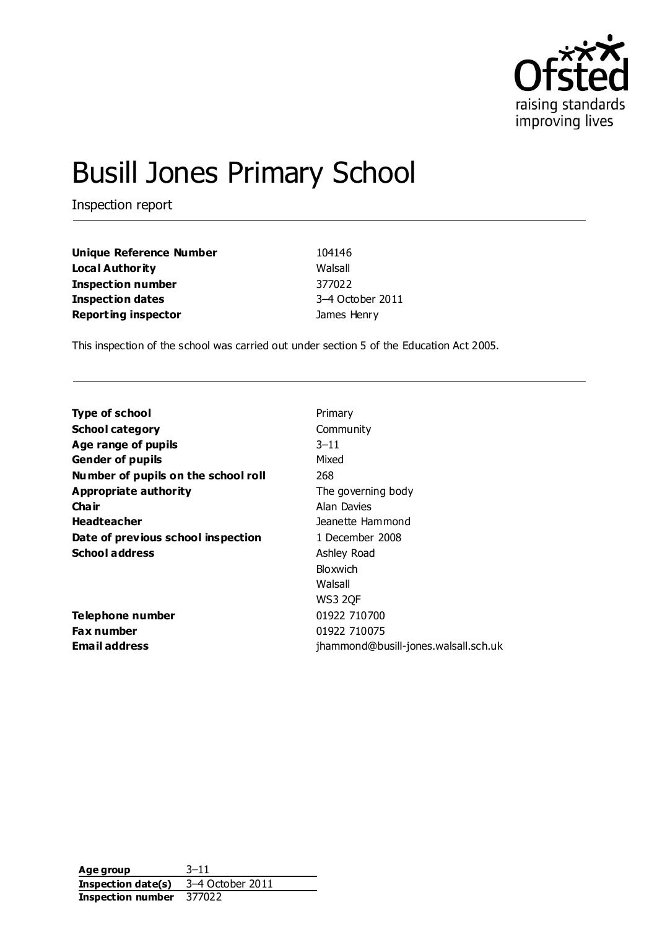

# Busill Jones Primary School

Inspection report

| <b>Unique Reference Number</b> | 104146        |
|--------------------------------|---------------|
| Local Authority                | Walsall       |
| <b>Inspection number</b>       | 377022        |
| <b>Inspection dates</b>        | 3-4 October 2 |
| <b>Reporting inspector</b>     | James Henry   |

**104146 Walsall Inspection number** 377022 **Inspection dates** 3–4 October 2011

This inspection of the school was carried out under section 5 of the Education Act 2005.

| <b>Type of school</b>               | Primary                              |
|-------------------------------------|--------------------------------------|
| <b>School category</b>              | Community                            |
| Age range of pupils                 | $3 - 11$                             |
| <b>Gender of pupils</b>             | Mixed                                |
| Number of pupils on the school roll | 268                                  |
| Appropriate authority               | The governing body                   |
| Cha ir                              | Alan Davies                          |
| <b>Headteacher</b>                  | Jeanette Hammond                     |
| Date of previous school inspection  | 1 December 2008                      |
| <b>School address</b>               | Ashley Road                          |
|                                     | Bloxwich                             |
|                                     | Walsall                              |
|                                     | <b>WS3 2QF</b>                       |
| Telephone number                    | 01922 710700                         |
| <b>Fax number</b>                   | 01922 710075                         |
| Email address                       | jhammond@busill-jones.walsall.sch.uk |
|                                     |                                      |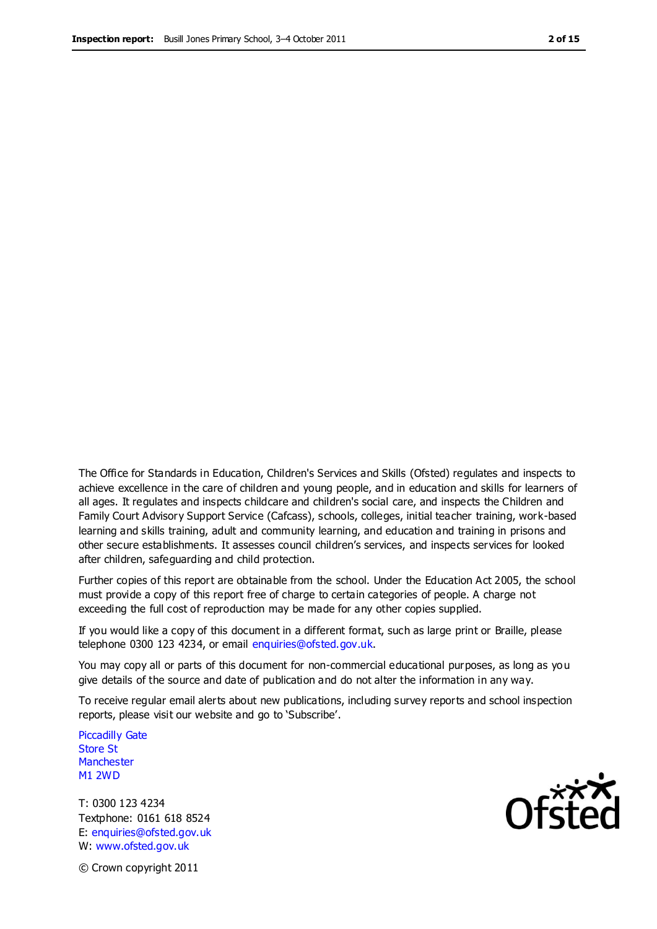The Office for Standards in Education, Children's Services and Skills (Ofsted) regulates and inspects to achieve excellence in the care of children and young people, and in education and skills for learners of all ages. It regulates and inspects childcare and children's social care, and inspects the Children and Family Court Advisory Support Service (Cafcass), schools, colleges, initial teacher training, work-based learning and skills training, adult and community learning, and education and training in prisons and other secure establishments. It assesses council children's services, and inspects services for looked after children, safeguarding and child protection.

Further copies of this report are obtainable from the school. Under the Education Act 2005, the school must provide a copy of this report free of charge to certain categories of people. A charge not exceeding the full cost of reproduction may be made for any other copies supplied.

If you would like a copy of this document in a different format, such as large print or Braille, please telephone 0300 123 4234, or email enquiries@ofsted.gov.uk.

You may copy all or parts of this document for non-commercial educational purposes, as long as you give details of the source and date of publication and do not alter the information in any way.

To receive regular email alerts about new publications, including survey reports and school inspection reports, please visit our website and go to 'Subscribe'.

Piccadilly Gate Store St **Manchester** M1 2WD

T: 0300 123 4234 Textphone: 0161 618 8524 E: enquiries@ofsted.gov.uk W: www.ofsted.gov.uk

© Crown copyright 2011

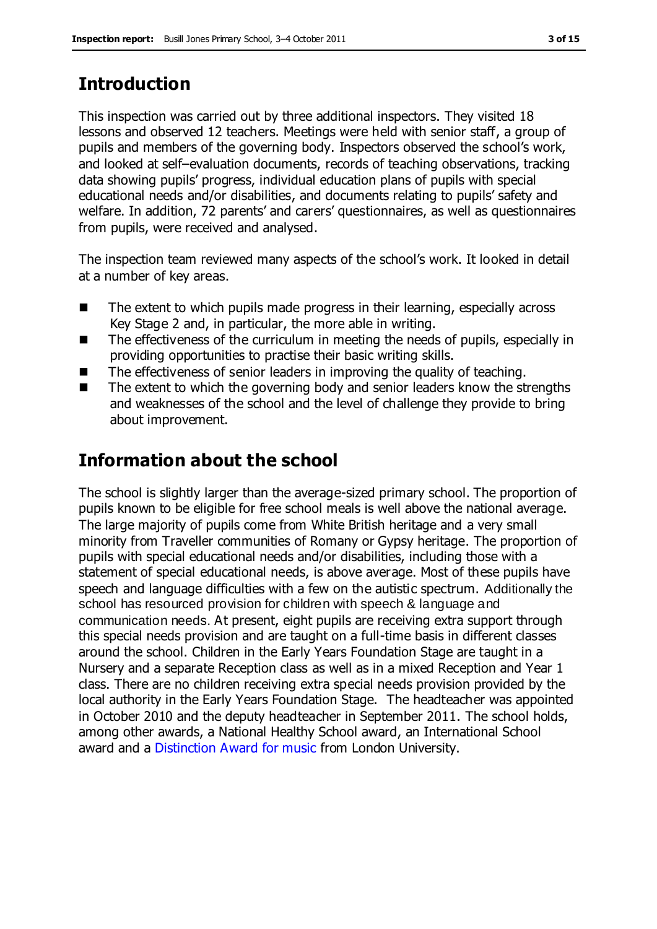### **Introduction**

This inspection was carried out by three additional inspectors. They visited 18 lessons and observed 12 teachers. Meetings were held with senior staff, a group of pupils and members of the governing body. Inspectors observed the school's work, and looked at self–evaluation documents, records of teaching observations, tracking data showing pupils' progress, individual education plans of pupils with special educational needs and/or disabilities, and documents relating to pupils' safety and welfare. In addition, 72 parents' and carers' questionnaires, as well as questionnaires from pupils, were received and analysed.

The inspection team reviewed many aspects of the school's work. It looked in detail at a number of key areas.

- The extent to which pupils made progress in their learning, especially across Key Stage 2 and, in particular, the more able in writing.
- $\blacksquare$  The effectiveness of the curriculum in meeting the needs of pupils, especially in providing opportunities to practise their basic writing skills.
- The effectiveness of senior leaders in improving the quality of teaching.
- The extent to which the governing body and senior leaders know the strengths and weaknesses of the school and the level of challenge they provide to bring about improvement.

### **Information about the school**

The school is slightly larger than the average-sized primary school. The proportion of pupils known to be eligible for free school meals is well above the national average. The large majority of pupils come from White British heritage and a very small minority from Traveller communities of Romany or Gypsy heritage. The proportion of pupils with special educational needs and/or disabilities, including those with a statement of special educational needs, is above average. Most of these pupils have speech and language difficulties with a few on the autistic spectrum. Additionally the school has resourced provision for children with speech & language and communication needs. At present, eight pupils are receiving extra support through this special needs provision and are taught on a full-time basis in different classes around the school. Children in the Early Years Foundation Stage are taught in a Nursery and a separate Reception class as well as in a mixed Reception and Year 1 class. There are no children receiving extra special needs provision provided by the local authority in the Early Years Foundation Stage. The headteacher was appointed in October 2010 and the deputy headteacher in September 2011. The school holds, among other awards, a National Healthy School award, an International School award and a Distinction Award for music from London University.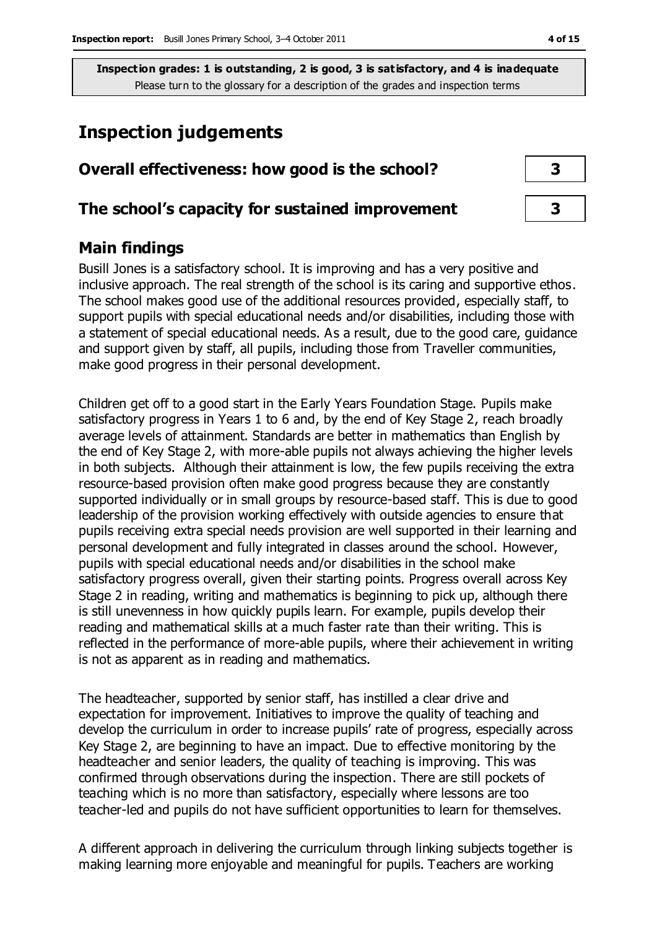### **Inspection judgements**

## **Overall effectiveness: how good is the school? 3**

#### **The school's capacity for sustained improvement 3**

#### **Main findings**

Busill Jones is a satisfactory school. It is improving and has a very positive and inclusive approach. The real strength of the school is its caring and supportive ethos. The school makes good use of the additional resources provided, especially staff, to support pupils with special educational needs and/or disabilities, including those with a statement of special educational needs. As a result, due to the good care, guidance and support given by staff, all pupils, including those from Traveller communities, make good progress in their personal development.

Children get off to a good start in the Early Years Foundation Stage. Pupils make satisfactory progress in Years 1 to 6 and, by the end of Key Stage 2, reach broadly average levels of attainment. Standards are better in mathematics than English by the end of Key Stage 2, with more-able pupils not always achieving the higher levels in both subjects. Although their attainment is low, the few pupils receiving the extra resource-based provision often make good progress because they are constantly supported individually or in small groups by resource-based staff. This is due to good leadership of the provision working effectively with outside agencies to ensure that pupils receiving extra special needs provision are well supported in their learning and personal development and fully integrated in classes around the school. However, pupils with special educational needs and/or disabilities in the school make satisfactory progress overall, given their starting points. Progress overall across Key Stage 2 in reading, writing and mathematics is beginning to pick up, although there is still unevenness in how quickly pupils learn. For example, pupils develop their reading and mathematical skills at a much faster rate than their writing. This is reflected in the performance of more-able pupils, where their achievement in writing is not as apparent as in reading and mathematics.

The headteacher, supported by senior staff, has instilled a clear drive and expectation for improvement. Initiatives to improve the quality of teaching and develop the curriculum in order to increase pupils' rate of progress, especially across Key Stage 2, are beginning to have an impact. Due to effective monitoring by the headteacher and senior leaders, the quality of teaching is improving. This was confirmed through observations during the inspection. There are still pockets of teaching which is no more than satisfactory, especially where lessons are too teacher-led and pupils do not have sufficient opportunities to learn for themselves.

A different approach in delivering the curriculum through linking subjects together is making learning more enjoyable and meaningful for pupils. Teachers are working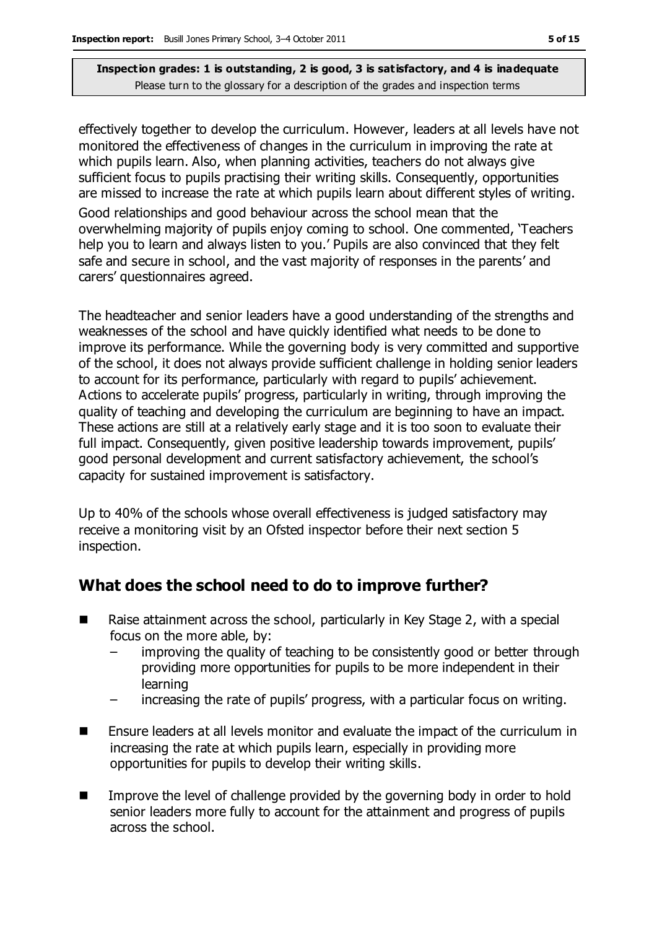effectively together to develop the curriculum. However, leaders at all levels have not monitored the effectiveness of changes in the curriculum in improving the rate at which pupils learn. Also, when planning activities, teachers do not always give sufficient focus to pupils practising their writing skills. Consequently, opportunities are missed to increase the rate at which pupils learn about different styles of writing.

Good relationships and good behaviour across the school mean that the overwhelming majority of pupils enjoy coming to school. One commented, 'Teachers help you to learn and always listen to you.' Pupils are also convinced that they felt safe and secure in school, and the vast majority of responses in the parents' and carers' questionnaires agreed.

The headteacher and senior leaders have a good understanding of the strengths and weaknesses of the school and have quickly identified what needs to be done to improve its performance. While the governing body is very committed and supportive of the school, it does not always provide sufficient challenge in holding senior leaders to account for its performance, particularly with regard to pupils' achievement. Actions to accelerate pupils' progress, particularly in writing, through improving the quality of teaching and developing the curriculum are beginning to have an impact. These actions are still at a relatively early stage and it is too soon to evaluate their full impact. Consequently, given positive leadership towards improvement, pupils' good personal development and current satisfactory achievement, the school's capacity for sustained improvement is satisfactory.

Up to 40% of the schools whose overall effectiveness is judged satisfactory may receive a monitoring visit by an Ofsted inspector before their next section 5 inspection.

### **What does the school need to do to improve further?**

- $\blacksquare$  Raise attainment across the school, particularly in Key Stage 2, with a special focus on the more able, by:
	- improving the quality of teaching to be consistently good or better through providing more opportunities for pupils to be more independent in their learning
	- increasing the rate of pupils' progress, with a particular focus on writing.
- Ensure leaders at all levels monitor and evaluate the impact of the curriculum in increasing the rate at which pupils learn, especially in providing more opportunities for pupils to develop their writing skills.
- Improve the level of challenge provided by the governing body in order to hold senior leaders more fully to account for the attainment and progress of pupils across the school.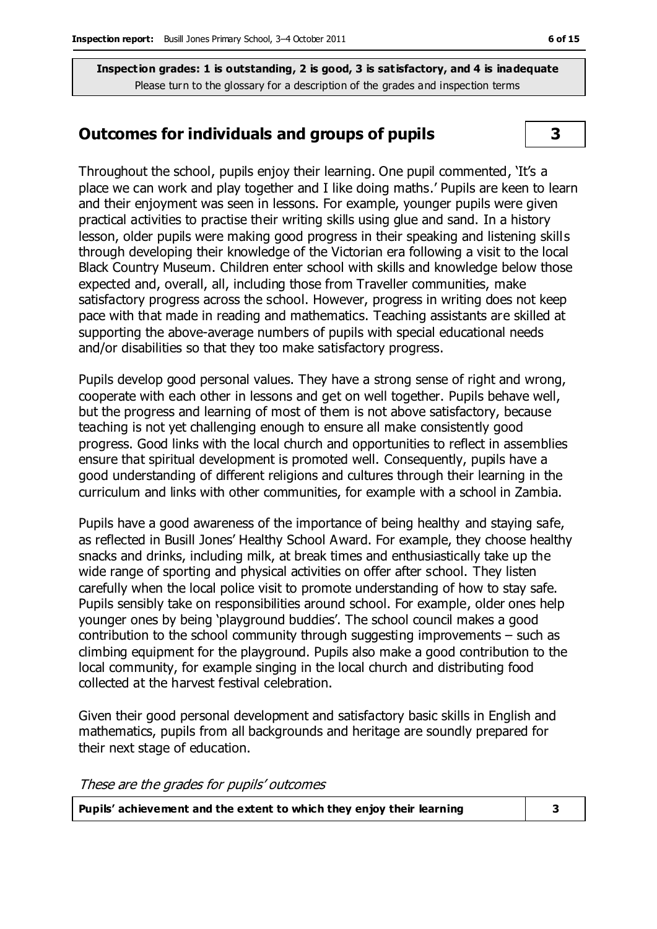#### **Outcomes for individuals and groups of pupils 3**

Throughout the school, pupils enjoy their learning. One pupil commented, 'It's a place we can work and play together and I like doing maths.' Pupils are keen to learn and their enjoyment was seen in lessons. For example, younger pupils were given practical activities to practise their writing skills using glue and sand. In a history lesson, older pupils were making good progress in their speaking and listening skills through developing their knowledge of the Victorian era following a visit to the local Black Country Museum. Children enter school with skills and knowledge below those expected and, overall, all, including those from Traveller communities, make satisfactory progress across the school. However, progress in writing does not keep pace with that made in reading and mathematics. Teaching assistants are skilled at supporting the above-average numbers of pupils with special educational needs and/or disabilities so that they too make satisfactory progress.

Pupils develop good personal values. They have a strong sense of right and wrong, cooperate with each other in lessons and get on well together. Pupils behave well, but the progress and learning of most of them is not above satisfactory, because teaching is not yet challenging enough to ensure all make consistently good progress. Good links with the local church and opportunities to reflect in assemblies ensure that spiritual development is promoted well. Consequently, pupils have a good understanding of different religions and cultures through their learning in the curriculum and links with other communities, for example with a school in Zambia.

Pupils have a good awareness of the importance of being healthy and staying safe, as reflected in Busill Jones' Healthy School Award. For example, they choose healthy snacks and drinks, including milk, at break times and enthusiastically take up the wide range of sporting and physical activities on offer after school. They listen carefully when the local police visit to promote understanding of how to stay safe. Pupils sensibly take on responsibilities around school. For example, older ones help younger ones by being 'playground buddies'. The school council makes a good contribution to the school community through suggesting improvements – such as climbing equipment for the playground. Pupils also make a good contribution to the local community, for example singing in the local church and distributing food collected at the harvest festival celebration.

Given their good personal development and satisfactory basic skills in English and mathematics, pupils from all backgrounds and heritage are soundly prepared for their next stage of education.

These are the grades for pupils' outcomes

| Pupils' achievement and the extent to which they enjoy their learning |  |
|-----------------------------------------------------------------------|--|
|-----------------------------------------------------------------------|--|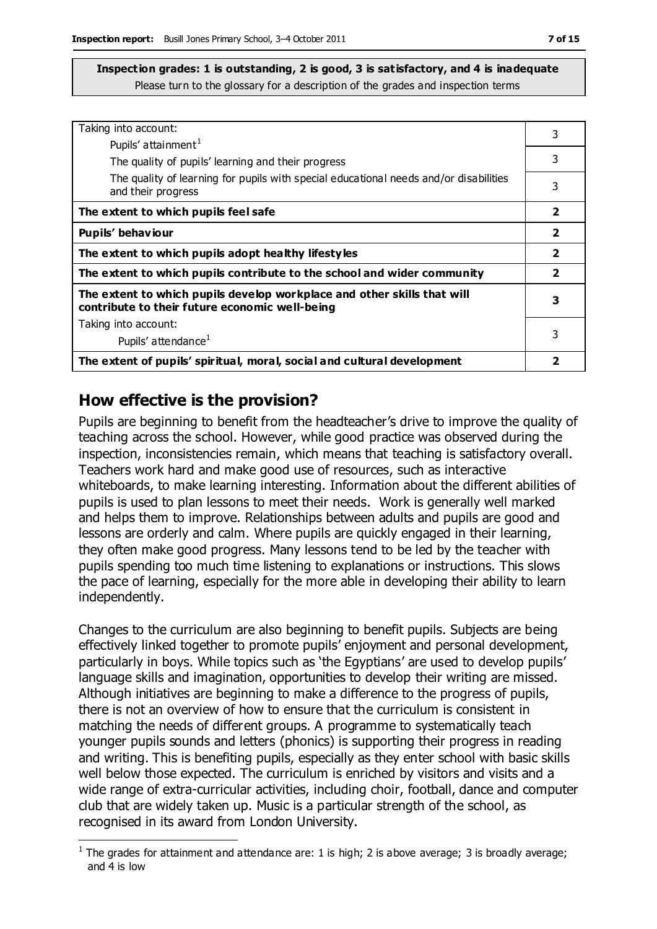| Taking into account:                                                                                                      |                         |
|---------------------------------------------------------------------------------------------------------------------------|-------------------------|
| Pupils' attainment <sup>1</sup>                                                                                           | 3                       |
|                                                                                                                           | 3                       |
| The quality of pupils' learning and their progress                                                                        |                         |
| The quality of learning for pupils with special educational needs and/or disabilities<br>and their progress               | 3                       |
| The extent to which pupils feel safe                                                                                      | 2                       |
| Pupils' behaviour                                                                                                         | 2                       |
| The extent to which pupils adopt healthy lifestyles                                                                       | $\overline{\mathbf{2}}$ |
| The extent to which pupils contribute to the school and wider community                                                   | 2                       |
| The extent to which pupils develop workplace and other skills that will<br>contribute to their future economic well-being | 3                       |
| Taking into account:                                                                                                      |                         |
| Pupils' attendance <sup>1</sup>                                                                                           | 3                       |
| The extent of pupils' spiritual, moral, social and cultural development                                                   |                         |

### **How effective is the provision?**

Pupils are beginning to benefit from the headteacher's drive to improve the quality of teaching across the school. However, while good practice was observed during the inspection, inconsistencies remain, which means that teaching is satisfactory overall. Teachers work hard and make good use of resources, such as interactive whiteboards, to make learning interesting. Information about the different abilities of pupils is used to plan lessons to meet their needs. Work is generally well marked and helps them to improve. Relationships between adults and pupils are good and lessons are orderly and calm. Where pupils are quickly engaged in their learning, they often make good progress. Many lessons tend to be led by the teacher with pupils spending too much time listening to explanations or instructions. This slows the pace of learning, especially for the more able in developing their ability to learn independently.

Changes to the curriculum are also beginning to benefit pupils. Subjects are being effectively linked together to promote pupils' enjoyment and personal development, particularly in boys. While topics such as 'the Egyptians' are used to develop pupils' language skills and imagination, opportunities to develop their writing are missed. Although initiatives are beginning to make a difference to the progress of pupils, there is not an overview of how to ensure that the curriculum is consistent in matching the needs of different groups. A programme to systematically teach younger pupils sounds and letters (phonics) is supporting their progress in reading and writing. This is benefiting pupils, especially as they enter school with basic skills well below those expected. The curriculum is enriched by visitors and visits and a wide range of extra-curricular activities, including choir, football, dance and computer club that are widely taken up. Music is a particular strength of the school, as recognised in its award from London University.

 $\overline{a}$ <sup>1</sup> The grades for attainment and attendance are: 1 is high; 2 is above average; 3 is broadly average; and 4 is low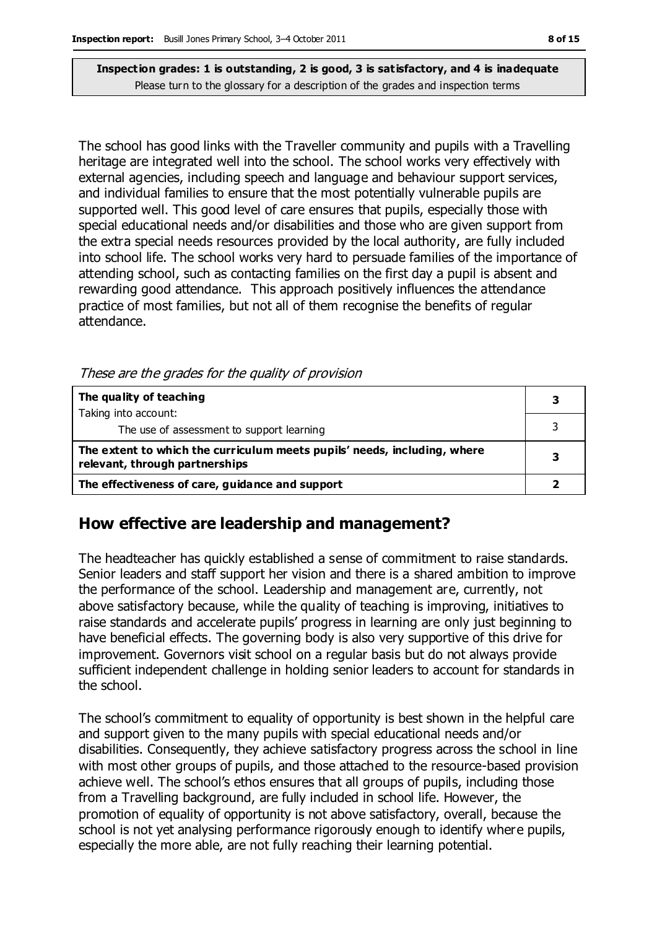The school has good links with the Traveller community and pupils with a Travelling heritage are integrated well into the school. The school works very effectively with external agencies, including speech and language and behaviour support services, and individual families to ensure that the most potentially vulnerable pupils are supported well. This good level of care ensures that pupils, especially those with special educational needs and/or disabilities and those who are given support from the extra special needs resources provided by the local authority, are fully included into school life. The school works very hard to persuade families of the importance of attending school, such as contacting families on the first day a pupil is absent and rewarding good attendance. This approach positively influences the attendance practice of most families, but not all of them recognise the benefits of regular attendance.

These are the grades for the quality of provision

| The quality of teaching                                                                                    |  |
|------------------------------------------------------------------------------------------------------------|--|
| Taking into account:                                                                                       |  |
| The use of assessment to support learning                                                                  |  |
| The extent to which the curriculum meets pupils' needs, including, where<br>relevant, through partnerships |  |
| The effectiveness of care, guidance and support                                                            |  |

### **How effective are leadership and management?**

The headteacher has quickly established a sense of commitment to raise standards. Senior leaders and staff support her vision and there is a shared ambition to improve the performance of the school. Leadership and management are, currently, not above satisfactory because, while the quality of teaching is improving, initiatives to raise standards and accelerate pupils' progress in learning are only just beginning to have beneficial effects. The governing body is also very supportive of this drive for improvement. Governors visit school on a regular basis but do not always provide sufficient independent challenge in holding senior leaders to account for standards in the school.

The school's commitment to equality of opportunity is best shown in the helpful care and support given to the many pupils with special educational needs and/or disabilities. Consequently, they achieve satisfactory progress across the school in line with most other groups of pupils, and those attached to the resource-based provision achieve well. The school's ethos ensures that all groups of pupils, including those from a Travelling background, are fully included in school life. However, the promotion of equality of opportunity is not above satisfactory, overall, because the school is not yet analysing performance rigorously enough to identify where pupils, especially the more able, are not fully reaching their learning potential.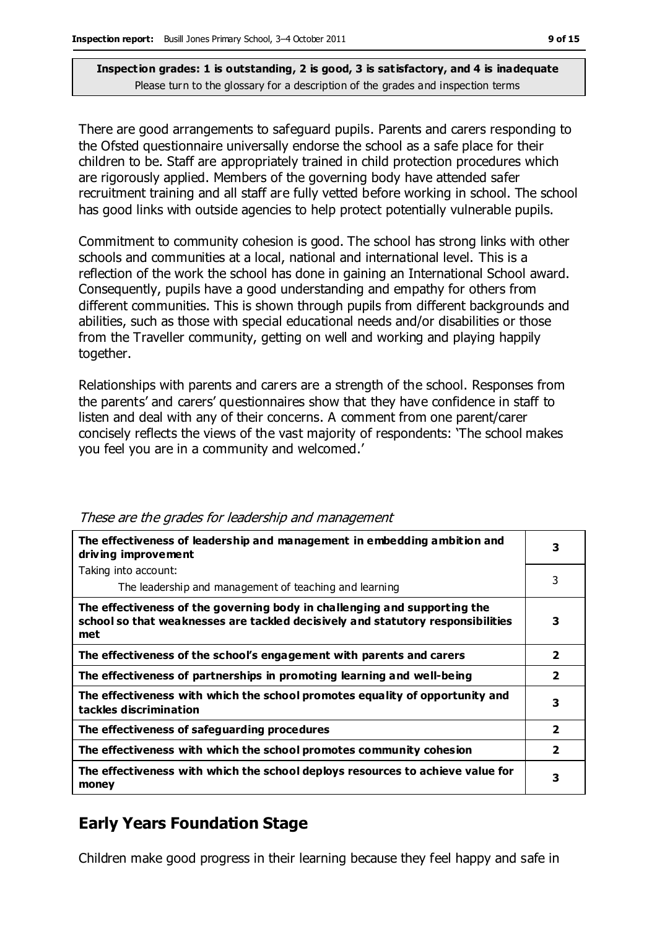There are good arrangements to safeguard pupils. Parents and carers responding to the Ofsted questionnaire universally endorse the school as a safe place for their children to be. Staff are appropriately trained in child protection procedures which are rigorously applied. Members of the governing body have attended safer recruitment training and all staff are fully vetted before working in school. The school has good links with outside agencies to help protect potentially vulnerable pupils.

Commitment to community cohesion is good. The school has strong links with other schools and communities at a local, national and international level. This is a reflection of the work the school has done in gaining an International School award. Consequently, pupils have a good understanding and empathy for others from different communities. This is shown through pupils from different backgrounds and abilities, such as those with special educational needs and/or disabilities or those from the Traveller community, getting on well and working and playing happily together.

Relationships with parents and carers are a strength of the school. Responses from the parents' and carers' questionnaires show that they have confidence in staff to listen and deal with any of their concerns. A comment from one parent/carer concisely reflects the views of the vast majority of respondents: 'The school makes you feel you are in a community and welcomed.'

| The effectiveness of leadership and management in embedding ambition and<br>driving improvement                                                                     | 3              |
|---------------------------------------------------------------------------------------------------------------------------------------------------------------------|----------------|
| Taking into account:                                                                                                                                                |                |
| The leadership and management of teaching and learning                                                                                                              | 3              |
| The effectiveness of the governing body in challenging and supporting the<br>school so that weaknesses are tackled decisively and statutory responsibilities<br>met | 3              |
| The effectiveness of the school's engagement with parents and carers                                                                                                | $\overline{2}$ |
| The effectiveness of partnerships in promoting learning and well-being                                                                                              | $\overline{2}$ |
| The effectiveness with which the school promotes equality of opportunity and<br>tackles discrimination                                                              | 3              |
| The effectiveness of safeguarding procedures                                                                                                                        | $\overline{2}$ |
| The effectiveness with which the school promotes community cohesion                                                                                                 | $\overline{2}$ |
| The effectiveness with which the school deploys resources to achieve value for<br>money                                                                             | 3              |

#### These are the grades for leadership and management

### **Early Years Foundation Stage**

Children make good progress in their learning because they feel happy and safe in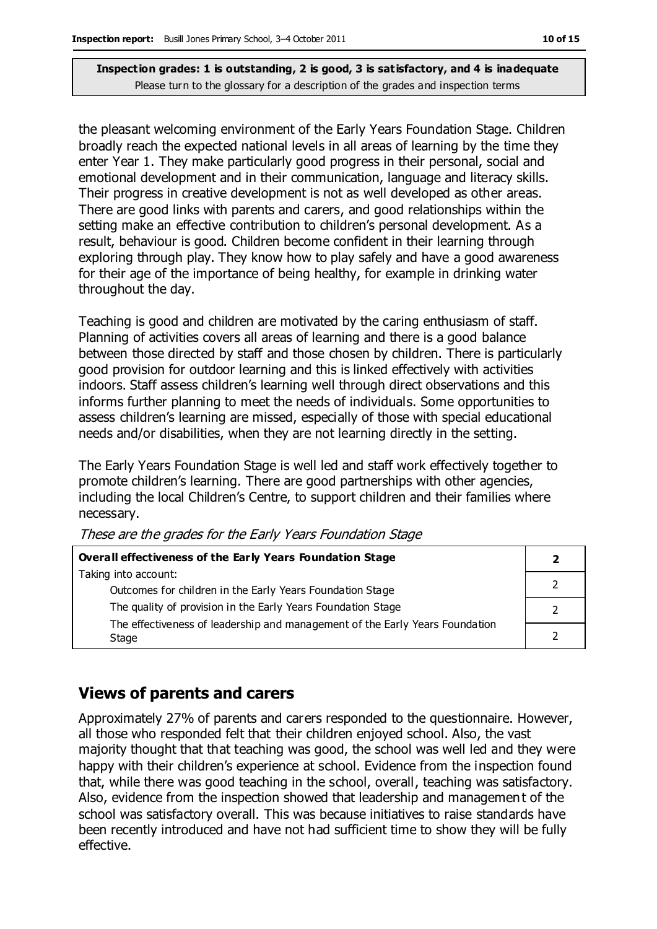the pleasant welcoming environment of the Early Years Foundation Stage. Children broadly reach the expected national levels in all areas of learning by the time they enter Year 1. They make particularly good progress in their personal, social and emotional development and in their communication, language and literacy skills. Their progress in creative development is not as well developed as other areas. There are good links with parents and carers, and good relationships within the setting make an effective contribution to children's personal development. As a result, behaviour is good. Children become confident in their learning through exploring through play. They know how to play safely and have a good awareness for their age of the importance of being healthy, for example in drinking water throughout the day.

Teaching is good and children are motivated by the caring enthusiasm of staff. Planning of activities covers all areas of learning and there is a good balance between those directed by staff and those chosen by children. There is particularly good provision for outdoor learning and this is linked effectively with activities indoors. Staff assess children's learning well through direct observations and this informs further planning to meet the needs of individuals. Some opportunities to assess children's learning are missed, especially of those with special educational needs and/or disabilities, when they are not learning directly in the setting.

The Early Years Foundation Stage is well led and staff work effectively together to promote children's learning. There are good partnerships with other agencies, including the local Children's Centre, to support children and their families where necessary.

| Overall effectiveness of the Early Years Foundation Stage                    |  |
|------------------------------------------------------------------------------|--|
| Taking into account:                                                         |  |
| Outcomes for children in the Early Years Foundation Stage                    |  |
| The quality of provision in the Early Years Foundation Stage                 |  |
| The effectiveness of leadership and management of the Early Years Foundation |  |
| Stage                                                                        |  |

These are the grades for the Early Years Foundation Stage

### **Views of parents and carers**

Approximately 27% of parents and carers responded to the questionnaire. However, all those who responded felt that their children enjoyed school. Also, the vast majority thought that that teaching was good, the school was well led and they were happy with their children's experience at school. Evidence from the inspection found that, while there was good teaching in the school, overall, teaching was satisfactory. Also, evidence from the inspection showed that leadership and management of the school was satisfactory overall. This was because initiatives to raise standards have been recently introduced and have not had sufficient time to show they will be fully effective.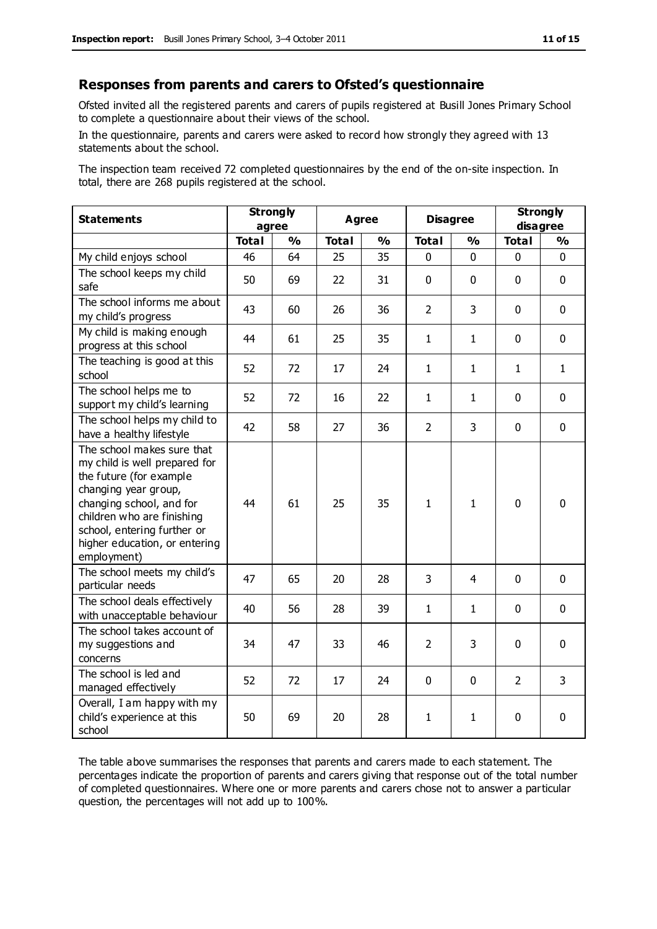#### **Responses from parents and carers to Ofsted's questionnaire**

Ofsted invited all the registered parents and carers of pupils registered at Busill Jones Primary School to complete a questionnaire about their views of the school.

In the questionnaire, parents and carers were asked to record how strongly they agreed with 13 statements about the school.

The inspection team received 72 completed questionnaires by the end of the on-site inspection. In total, there are 268 pupils registered at the school.

| <b>Statements</b>                                                                                                                                                                                                                                       | <b>Strongly</b><br>agree |               | <b>Agree</b> |               | <b>Disagree</b> |               | <b>Strongly</b><br>disagree |              |
|---------------------------------------------------------------------------------------------------------------------------------------------------------------------------------------------------------------------------------------------------------|--------------------------|---------------|--------------|---------------|-----------------|---------------|-----------------------------|--------------|
|                                                                                                                                                                                                                                                         | <b>Total</b>             | $\frac{0}{0}$ | <b>Total</b> | $\frac{1}{2}$ | <b>Total</b>    | $\frac{1}{2}$ | <b>Total</b>                | %            |
| My child enjoys school                                                                                                                                                                                                                                  | 46                       | 64            | 25           | 35            | 0               | $\mathbf 0$   | $\mathbf 0$                 | $\mathbf 0$  |
| The school keeps my child<br>safe                                                                                                                                                                                                                       | 50                       | 69            | 22           | 31            | 0               | $\mathbf 0$   | $\mathbf 0$                 | $\mathbf 0$  |
| The school informs me about<br>my child's progress                                                                                                                                                                                                      | 43                       | 60            | 26           | 36            | $\overline{2}$  | 3             | $\mathbf 0$                 | $\mathbf 0$  |
| My child is making enough<br>progress at this school                                                                                                                                                                                                    | 44                       | 61            | 25           | 35            | $\mathbf{1}$    | 1             | $\mathbf 0$                 | $\mathbf 0$  |
| The teaching is good at this<br>school                                                                                                                                                                                                                  | 52                       | 72            | 17           | 24            | $\mathbf{1}$    | $\mathbf{1}$  | $\mathbf{1}$                | $\mathbf{1}$ |
| The school helps me to<br>support my child's learning                                                                                                                                                                                                   | 52                       | 72            | 16           | 22            | $\mathbf{1}$    | $\mathbf{1}$  | $\Omega$                    | $\mathbf 0$  |
| The school helps my child to<br>have a healthy lifestyle                                                                                                                                                                                                | 42                       | 58            | 27           | 36            | $\overline{2}$  | 3             | $\mathbf 0$                 | $\mathbf 0$  |
| The school makes sure that<br>my child is well prepared for<br>the future (for example<br>changing year group,<br>changing school, and for<br>children who are finishing<br>school, entering further or<br>higher education, or entering<br>employment) | 44                       | 61            | 25           | 35            | $\mathbf{1}$    | $\mathbf{1}$  | $\Omega$                    | $\mathbf 0$  |
| The school meets my child's<br>particular needs                                                                                                                                                                                                         | 47                       | 65            | 20           | 28            | 3               | 4             | $\mathbf{0}$                | $\mathbf 0$  |
| The school deals effectively<br>with unacceptable behaviour                                                                                                                                                                                             | 40                       | 56            | 28           | 39            | $\mathbf{1}$    | $\mathbf{1}$  | 0                           | $\mathbf 0$  |
| The school takes account of<br>my suggestions and<br>concerns                                                                                                                                                                                           | 34                       | 47            | 33           | 46            | $\overline{2}$  | 3             | $\mathbf 0$                 | $\mathbf 0$  |
| The school is led and<br>managed effectively                                                                                                                                                                                                            | 52                       | 72            | 17           | 24            | $\mathbf 0$     | $\mathbf 0$   | $\overline{2}$              | 3            |
| Overall, I am happy with my<br>child's experience at this<br>school                                                                                                                                                                                     | 50                       | 69            | 20           | 28            | 1               | 1             | 0                           | $\mathbf 0$  |

The table above summarises the responses that parents and carers made to each statement. The percentages indicate the proportion of parents and carers giving that response out of the total number of completed questionnaires. Where one or more parents and carers chose not to answer a particular question, the percentages will not add up to 100%.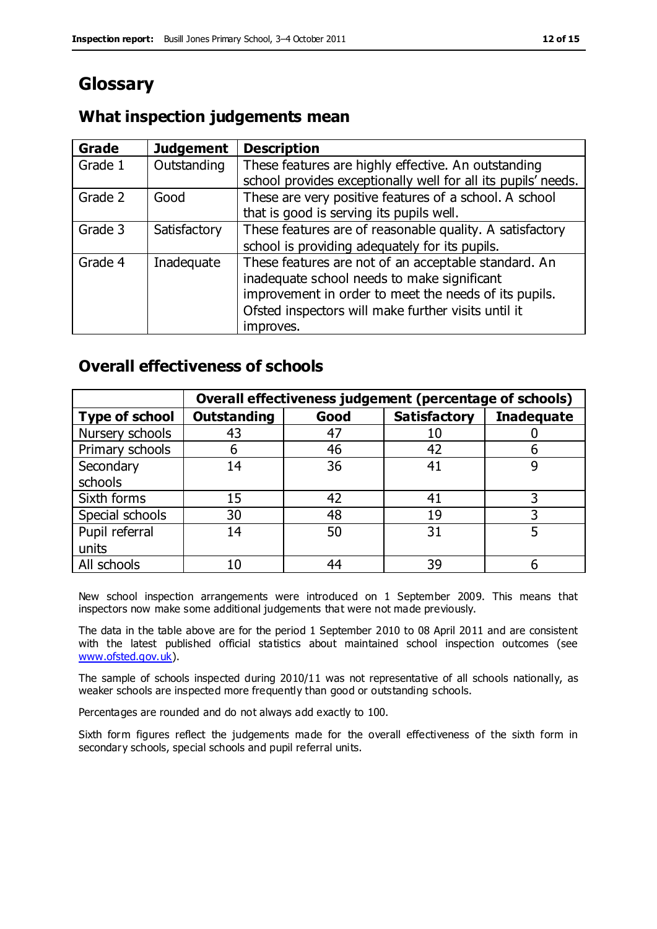### **Glossary**

#### **What inspection judgements mean**

| Grade   | <b>Judgement</b> | <b>Description</b>                                            |
|---------|------------------|---------------------------------------------------------------|
| Grade 1 | Outstanding      | These features are highly effective. An outstanding           |
|         |                  | school provides exceptionally well for all its pupils' needs. |
| Grade 2 | Good             | These are very positive features of a school. A school        |
|         |                  | that is good is serving its pupils well.                      |
| Grade 3 | Satisfactory     | These features are of reasonable quality. A satisfactory      |
|         |                  | school is providing adequately for its pupils.                |
| Grade 4 | Inadequate       | These features are not of an acceptable standard. An          |
|         |                  | inadequate school needs to make significant                   |
|         |                  | improvement in order to meet the needs of its pupils.         |
|         |                  | Ofsted inspectors will make further visits until it           |
|         |                  | improves.                                                     |

#### **Overall effectiveness of schools**

|                       |                    |      | Overall effectiveness judgement (percentage of schools) |                   |
|-----------------------|--------------------|------|---------------------------------------------------------|-------------------|
| <b>Type of school</b> | <b>Outstanding</b> | Good | <b>Satisfactory</b>                                     | <b>Inadequate</b> |
| Nursery schools       | 43                 | 47   | 10                                                      |                   |
| Primary schools       | h                  | 46   | 42                                                      |                   |
| Secondary             | 14                 | 36   | 41                                                      |                   |
| schools               |                    |      |                                                         |                   |
| Sixth forms           | 15                 | 42   | 41                                                      | 3                 |
| Special schools       | 30                 | 48   | 19                                                      |                   |
| Pupil referral        | 14                 | 50   | 31                                                      |                   |
| units                 |                    |      |                                                         |                   |
| All schools           | 10                 | 44   | 39                                                      |                   |

New school inspection arrangements were introduced on 1 September 2009. This means that inspectors now make some additional judgements that were not made previously.

The data in the table above are for the period 1 September 2010 to 08 April 2011 and are consistent with the latest published official statistics about maintained school inspection outcomes (see [www.ofsted.gov.uk\)](http://www.ofsted.gov.uk/).

The sample of schools inspected during 2010/11 was not representative of all schools nationally, as weaker schools are inspected more frequently than good or outstanding schools.

Percentages are rounded and do not always add exactly to 100.

Sixth form figures reflect the judgements made for the overall effectiveness of the sixth form in secondary schools, special schools and pupil referral units.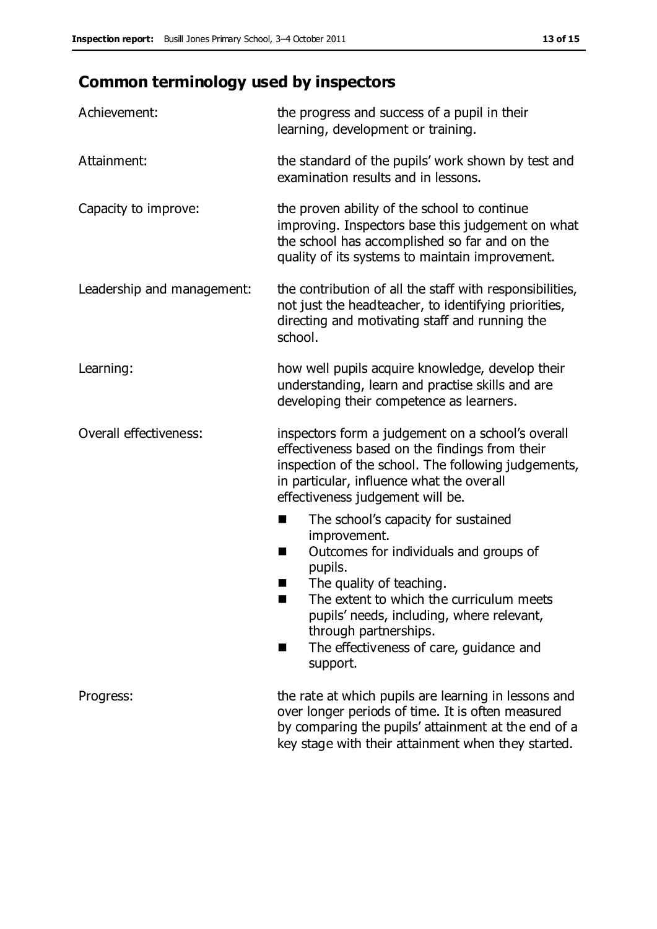### **Common terminology used by inspectors**

| Achievement:                  | the progress and success of a pupil in their<br>learning, development or training.                                                                                                                                                                                                                                           |
|-------------------------------|------------------------------------------------------------------------------------------------------------------------------------------------------------------------------------------------------------------------------------------------------------------------------------------------------------------------------|
| Attainment:                   | the standard of the pupils' work shown by test and<br>examination results and in lessons.                                                                                                                                                                                                                                    |
| Capacity to improve:          | the proven ability of the school to continue<br>improving. Inspectors base this judgement on what<br>the school has accomplished so far and on the<br>quality of its systems to maintain improvement.                                                                                                                        |
| Leadership and management:    | the contribution of all the staff with responsibilities,<br>not just the headteacher, to identifying priorities,<br>directing and motivating staff and running the<br>school.                                                                                                                                                |
| Learning:                     | how well pupils acquire knowledge, develop their<br>understanding, learn and practise skills and are<br>developing their competence as learners.                                                                                                                                                                             |
| <b>Overall effectiveness:</b> | inspectors form a judgement on a school's overall<br>effectiveness based on the findings from their<br>inspection of the school. The following judgements,<br>in particular, influence what the overall<br>effectiveness judgement will be.                                                                                  |
|                               | The school's capacity for sustained<br>×<br>improvement.<br>Outcomes for individuals and groups of<br>п<br>pupils.<br>The quality of teaching.<br>The extent to which the curriculum meets<br>pupils' needs, including, where relevant,<br>through partnerships.<br>The effectiveness of care, guidance and<br>■<br>support. |
| Progress:                     | the rate at which pupils are learning in lessons and<br>over longer periods of time. It is often measured<br>by comparing the pupils' attainment at the end of a<br>key stage with their attainment when they started.                                                                                                       |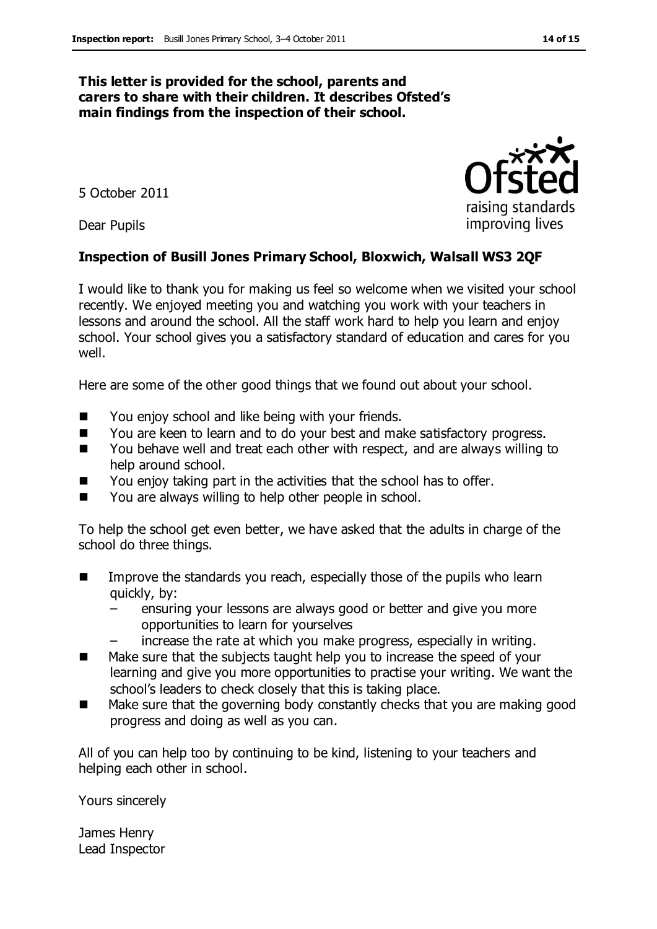#### **This letter is provided for the school, parents and carers to share with their children. It describes Ofsted's main findings from the inspection of their school.**

5 October 2011

Dear Pupils

#### **Inspection of Busill Jones Primary School, Bloxwich, Walsall WS3 2QF**

I would like to thank you for making us feel so welcome when we visited your school recently. We enjoyed meeting you and watching you work with your teachers in lessons and around the school. All the staff work hard to help you learn and enjoy school. Your school gives you a satisfactory standard of education and cares for you well.

Here are some of the other good things that we found out about your school.

- You enjoy school and like being with your friends.
- You are keen to learn and to do your best and make satisfactory progress.
- You behave well and treat each other with respect, and are always willing to help around school.
- You enjoy taking part in the activities that the school has to offer.
- You are always willing to help other people in school.

To help the school get even better, we have asked that the adults in charge of the school do three things.

- Improve the standards you reach, especially those of the pupils who learn quickly, by:
	- ensuring your lessons are always good or better and give you more opportunities to learn for yourselves
	- increase the rate at which you make progress, especially in writing.
- Make sure that the subjects taught help you to increase the speed of your learning and give you more opportunities to practise your writing. We want the school's leaders to check closely that this is taking place.
- Make sure that the governing body constantly checks that you are making good progress and doing as well as you can.

All of you can help too by continuing to be kind, listening to your teachers and helping each other in school.

Yours sincerely

James Henry Lead Inspector